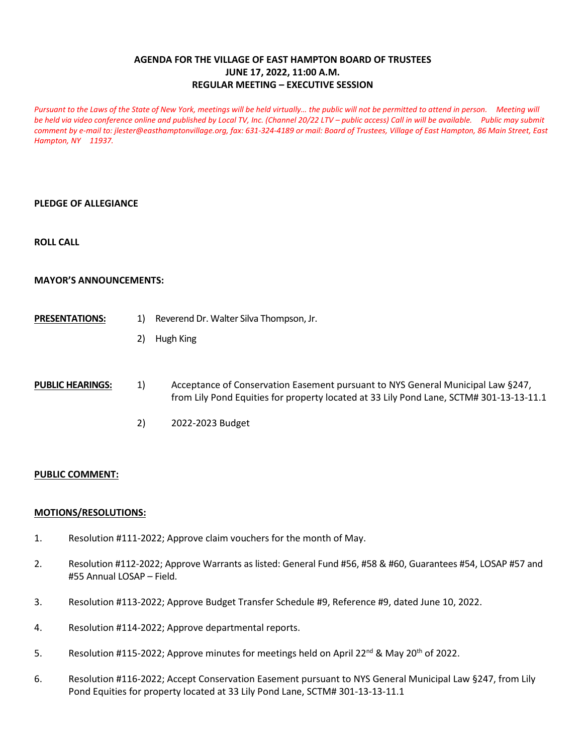# **AGENDA FOR THE VILLAGE OF EAST HAMPTON BOARD OF TRUSTEES JUNE 17, 2022, 11:00 A.M. REGULAR MEETING – EXECUTIVE SESSION**

Pursuant to the Laws of the State of New York, meetings will be held virtually... the public will not be permitted to attend in person. Meeting will be held via video conference online and published by Local TV, Inc. (Channel 20/22 LTV – public access) Call in will be available. Public may submit *comment by e-mail to[: jlester@easthamptonvillage.org,](mailto:jlester@easthamptonvillage.org) fax: 631-324-4189 or mail: Board of Trustees, Village of East Hampton, 86 Main Street, East Hampton, NY 11937.*

### **PLEDGE OF ALLEGIANCE**

**ROLL CALL** 

### **MAYOR'S ANNOUNCEMENTS:**

- **PRESENTATIONS:** 1) Reverend Dr. Walter Silva Thompson, Jr.
	- 2) Hugh King
- **PUBLIC HEARINGS:** 1) Acceptance of Conservation Easement pursuant to NYS General Municipal Law §247, from Lily Pond Equities for property located at 33 Lily Pond Lane, SCTM# 301-13-13-11.1
	- 2) 2022-2023 Budget

#### **PUBLIC COMMENT:**

### **MOTIONS/RESOLUTIONS:**

- 1. Resolution #111-2022; Approve claim vouchers for the month of May.
- 2. Resolution #112-2022; Approve Warrants as listed: General Fund #56, #58 & #60, Guarantees #54, LOSAP #57 and #55 Annual LOSAP – Field.
- 3. Resolution #113-2022; Approve Budget Transfer Schedule #9, Reference #9, dated June 10, 2022.
- 4. Resolution #114-2022; Approve departmental reports.
- 5. Resolution #115-2022; Approve minutes for meetings held on April 22<sup>nd</sup> & May 20<sup>th</sup> of 2022.
- 6. Resolution #116-2022; Accept Conservation Easement pursuant to NYS General Municipal Law §247, from Lily Pond Equities for property located at 33 Lily Pond Lane, SCTM# 301-13-13-11.1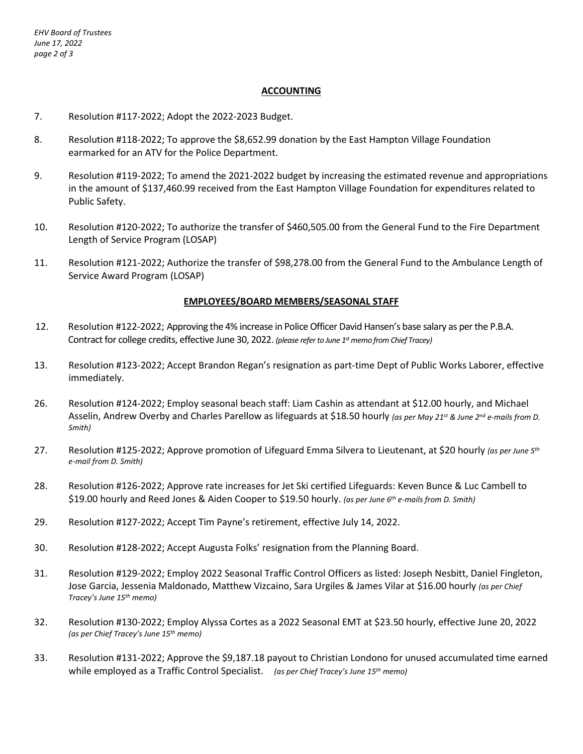## **ACCOUNTING**

- 7. Resolution #117-2022; Adopt the 2022-2023 Budget.
- 8. Resolution #118-2022; To approve the \$8,652.99 donation by the East Hampton Village Foundation earmarked for an ATV for the Police Department.
- 9. Resolution #119-2022; To amend the 2021-2022 budget by increasing the estimated revenue and appropriations in the amount of \$137,460.99 received from the East Hampton Village Foundation for expenditures related to Public Safety.
- 10. Resolution #120-2022; To authorize the transfer of \$460,505.00 from the General Fund to the Fire Department Length of Service Program (LOSAP)
- 11. Resolution #121-2022; Authorize the transfer of \$98,278.00 from the General Fund to the Ambulance Length of Service Award Program (LOSAP)

#### **EMPLOYEES/BOARD MEMBERS/SEASONAL STAFF**

- 12. Resolution #122-2022; Approving the 4% increase in Police Officer David Hansen's base salary as per the P.B.A. Contract for college credits, effective June 30, 2022. *(please refer to June 1st memo from Chief Tracey)*
- 13. Resolution #123-2022; Accept Brandon Regan's resignation as part-time Dept of Public Works Laborer, effective immediately.
- 26. Resolution #124-2022; Employ seasonal beach staff: Liam Cashin as attendant at \$12.00 hourly, and Michael Asselin, Andrew Overby and Charles Parellow as lifeguards at \$18.50 hourly *(as per May 21st & June 2nd e-mails from D. Smith)*
- 27. Resolution #125-2022; Approve promotion of Lifeguard Emma Silvera to Lieutenant, at \$20 hourly *(as per June 5th e-mail from D. Smith)*
- 28. Resolution #126-2022; Approve rate increases for Jet Ski certified Lifeguards: Keven Bunce & Luc Cambell to \$19.00 hourly and Reed Jones & Aiden Cooper to \$19.50 hourly. *(as per June 6th e-mails from D. Smith)*
- 29. Resolution #127-2022; Accept Tim Payne's retirement, effective July 14, 2022.
- 30. Resolution #128-2022; Accept Augusta Folks' resignation from the Planning Board.
- 31. Resolution #129-2022; Employ 2022 Seasonal Traffic Control Officers as listed: Joseph Nesbitt, Daniel Fingleton, Jose Garcia, Jessenia Maldonado, Matthew Vizcaino, Sara Urgiles & James Vilar at \$16.00 hourly *(as per Chief Tracey's June 15th memo)*
- 32. Resolution #130-2022; Employ Alyssa Cortes as a 2022 Seasonal EMT at \$23.50 hourly, effective June 20, 2022 *(as per Chief Tracey's June 15th memo)*
- 33. Resolution #131-2022; Approve the \$9,187.18 payout to Christian Londono for unused accumulated time earned while employed as a Traffic Control Specialist. *(as per Chief Tracey's June 15th memo)*